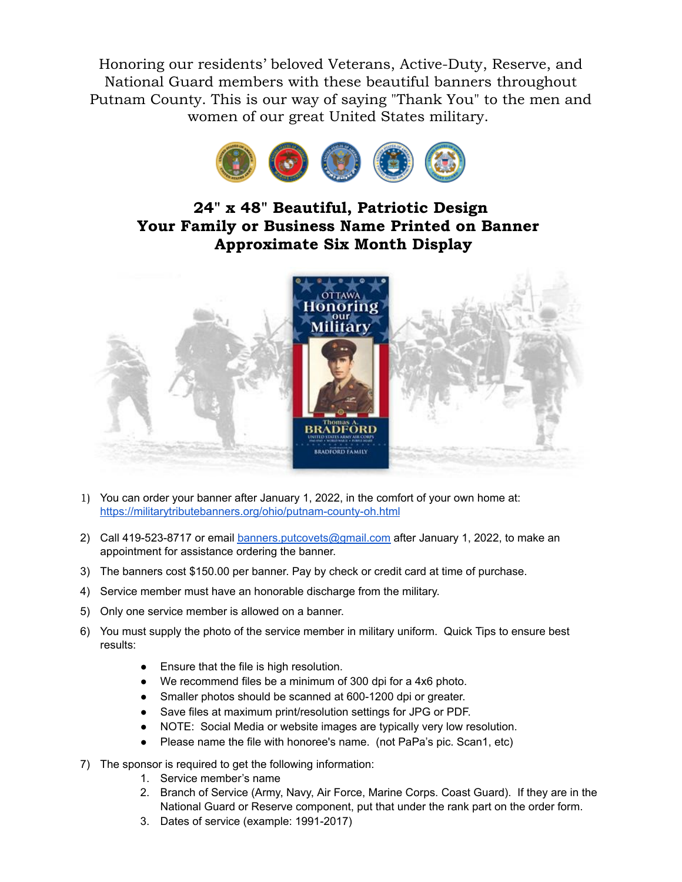Honoring our residents' beloved Veterans, Active-Duty, Reserve, and National Guard members with these beautiful banners throughout Putnam County. This is our way of saying "Thank You" to the men and women of our great United States military.



## **24" x 48" Beautiful, Patriotic Design Your Family or Business Name Printed on Banner Approximate Six Month Display**



- 1) You can order your banner after January 1, 2022, in the comfort of your own home at: <https://militarytributebanners.org/ohio/putnam-county-oh.html>
- 2) Call 419-523-8717 or email [banners.putcovets@gmail.com](mailto:banners.putcovets@gamil.com) after January 1, 2022, to make an appointment for assistance ordering the banner.
- 3) The banners cost \$150.00 per banner. Pay by check or credit card at time of purchase.
- 4) Service member must have an honorable discharge from the military.
- 5) Only one service member is allowed on a banner.
- 6) You must supply the photo of the service member in military uniform. Quick Tips to ensure best results:
	- Ensure that the file is high resolution.
	- We recommend files be a minimum of 300 dpi for a 4x6 photo.
	- Smaller photos should be scanned at 600-1200 dpi or greater.
	- Save files at maximum print/resolution settings for JPG or PDF.
	- NOTE: Social Media or website images are typically very low resolution.
	- Please name the file with honoree's name. (not PaPa's pic. Scan1, etc)
- 7) The sponsor is required to get the following information:
	- 1. Service member's name
	- 2. Branch of Service (Army, Navy, Air Force, Marine Corps. Coast Guard). If they are in the National Guard or Reserve component, put that under the rank part on the order form.
	- 3. Dates of service (example: 1991-2017)